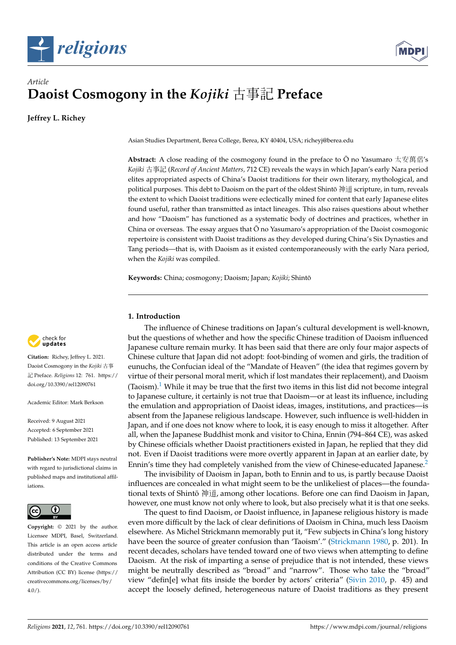



# *Article* **Daoist Cosmogony in the** *Kojiki* 古事記 **Preface**

**Jeffrey L. Richey**

Asian Studies Department, Berea College, Berea, KY 40404, USA; richeyj@berea.edu

**Abstract:** A close reading of the cosmogony found in the preface to  $\bar{O}$  no Yasumaro 太安萬侶's *Kojiki* 古事記 (*Record of Ancient Matters,* 712 CE) reveals the ways in which Japan's early Nara period elites appropriated aspects of China's Daoist traditions for their own literary, mythological, and political purposes. This debt to Daoism on the part of the oldest Shintō 神道 scripture, in turn, reveals the extent to which Daoist traditions were eclectically mined for content that early Japanese elites found useful, rather than transmitted as intact lineages. This also raises questions about whether and how "Daoism" has functioned as a systematic body of doctrines and practices, whether in China or overseas. The essay argues that  $\bar{O}$  no Yasumaro's appropriation of the Daoist cosmogonic repertoire is consistent with Daoist traditions as they developed during China's Six Dynasties and Tang periods—that is, with Daoism as it existed contemporaneously with the early Nara period, when the *Kojiki* was compiled.

**Keywords:** China; cosmogony; Daoism; Japan; *Kojiki*; Shinto¯

## **1. Introduction**

<span id="page-0-0"></span>The influence of Chinese traditions on Japan's cultural development is well-known, but the questions of whether and how the specific Chinese tradition of Daoism influenced Japanese culture remain murky. It has been said that there are only four major aspects of Chinese culture that Japan did not adopt: foot-binding of women and girls, the tradition of eunuchs, the Confucian ideal of the "Mandate of Heaven" (the idea that regimes govern by virtue of their personal moral merit, which if lost mandates their replacement), and Daoism (Taoism).<sup>[1](#page-14-0)</sup> While it may be true that the first two items in this list did not become integral to Japanese culture, it certainly is not true that Daoism—or at least its influence, including the emulation and appropriation of Daoist ideas, images, institutions, and practices—is absent from the Japanese religious landscape. However, such influence is well-hidden in Japan, and if one does not know where to look, it is easy enough to miss it altogether. After all, when the Japanese Buddhist monk and visitor to China, Ennin (794–864 CE), was asked by Chinese officials whether Daoist practitioners existed in Japan, he replied that they did not. Even if Daoist traditions were more overtly apparent in Japan at an earlier date, by Ennin's time they had completely vanished from the view of Chinese-educated Japanese.<sup>[2](#page-14-1)</sup>

<span id="page-0-1"></span>The invisibility of Daoism in Japan, both to Ennin and to us, is partly because Daoist influences are concealed in what might seem to be the unlikeliest of places—the foundational texts of Shintō 神道, among other locations. Before one can find Daoism in Japan, however, one must know not only where to look, but also precisely what it is that one seeks.

The quest to find Daoism, or Daoist influence, in Japanese religious history is made even more difficult by the lack of clear definitions of Daoism in China, much less Daoism elsewhere. As Michel Strickmann memorably put it, "Few subjects in China's long history have been the source of greater confusion than 'Taoism'." [\(Strickmann](#page-17-0) [1980,](#page-17-0) p. 201). In recent decades, scholars have tended toward one of two views when attempting to define Daoism. At the risk of imparting a sense of prejudice that is not intended, these views might be neutrally described as "broad" and "narrow". Those who take the "broad" view "defin[e] what fits inside the border by actors' criteria" [\(Sivin](#page-17-1) [2010,](#page-17-1) p. 45) and accept the loosely defined, heterogeneous nature of Daoist traditions as they present



**Citation:** Richey, Jeffrey L. 2021. Daoist Cosmogony in the *Kojiki* 古事 記 Preface. *Religions* 12: 761. [https://](https://doi.org/10.3390/rel12090761) [doi.org/10.3390/rel12090761](https://doi.org/10.3390/rel12090761)

Academic Editor: Mark Berkson

Received: 9 August 2021 Accepted: 6 September 2021 Published: 13 September 2021

**Publisher's Note:** MDPI stays neutral with regard to jurisdictional claims in published maps and institutional affiliations.



**Copyright:** © 2021 by the author. Licensee MDPI, Basel, Switzerland. This article is an open access article distributed under the terms and conditions of the Creative Commons Attribution (CC BY) license (https:/[/](https://creativecommons.org/licenses/by/4.0/) [creativecommons.org/licenses/by/](https://creativecommons.org/licenses/by/4.0/)  $4.0/$ ).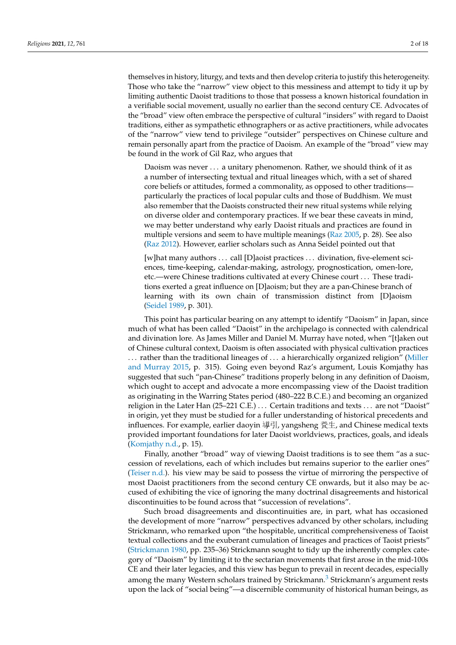themselves in history, liturgy, and texts and then develop criteria to justify this heterogeneity. Those who take the "narrow" view object to this messiness and attempt to tidy it up by limiting authentic Daoist traditions to those that possess a known historical foundation in a verifiable social movement, usually no earlier than the second century CE. Advocates of the "broad" view often embrace the perspective of cultural "insiders" with regard to Daoist traditions, either as sympathetic ethnographers or as active practitioners, while advocates of the "narrow" view tend to privilege "outsider" perspectives on Chinese culture and remain personally apart from the practice of Daoism. An example of the "broad" view may be found in the work of Gil Raz, who argues that

Daoism was never . . . a unitary phenomenon. Rather, we should think of it as a number of intersecting textual and ritual lineages which, with a set of shared core beliefs or attitudes, formed a commonality, as opposed to other traditions particularly the practices of local popular cults and those of Buddhism. We must also remember that the Daoists constructed their new ritual systems while relying on diverse older and contemporary practices. If we bear these caveats in mind, we may better understand why early Daoist rituals and practices are found in multiple versions and seem to have multiple meanings [\(Raz](#page-17-2) [2005,](#page-17-2) p. 28). See also [\(Raz](#page-17-3) [2012\)](#page-17-3). However, earlier scholars such as Anna Seidel pointed out that

[w]hat many authors . . . call [D]aoist practices . . . divination, five-element sciences, time-keeping, calendar-making, astrology, prognostication, omen-lore, etc.—were Chinese traditions cultivated at every Chinese court . . . These traditions exerted a great influence on [D]aoism; but they are a pan-Chinese branch of learning with its own chain of transmission distinct from [D]aoism [\(Seidel](#page-17-4) [1989,](#page-17-4) p. 301).

This point has particular bearing on any attempt to identify "Daoism" in Japan, since much of what has been called "Daoist" in the archipelago is connected with calendrical and divination lore. As James Miller and Daniel M. Murray have noted, when "[t]aken out of Chinese cultural context, Daoism is often associated with physical cultivation practices . . . rather than the traditional lineages of . . . a hierarchically organized religion" [\(Miller](#page-16-0) [and Murray](#page-16-0) [2015,](#page-16-0) p. 315). Going even beyond Raz's argument, Louis Komjathy has suggested that such "pan-Chinese" traditions properly belong in any definition of Daoism, which ought to accept and advocate a more encompassing view of the Daoist tradition as originating in the Warring States period (480–222 B.C.E.) and becoming an organized religion in the Later Han (25–221 C.E.) . . . Certain traditions and texts . . . are not "Daoist" in origin, yet they must be studied for a fuller understanding of historical precedents and influences. For example, earlier daoyin 導引, yangsheng 養生, and Chinese medical texts provided important foundations for later Daoist worldviews, practices, goals, and ideals [\(Komjathy](#page-16-1) [n.d.,](#page-16-1) p. 15).

Finally, another "broad" way of viewing Daoist traditions is to see them "as a succession of revelations, each of which includes but remains superior to the earlier ones" [\(Teiser](#page-17-5) [n.d.\)](#page-17-5). his view may be said to possess the virtue of mirroring the perspective of most Daoist practitioners from the second century CE onwards, but it also may be accused of exhibiting the vice of ignoring the many doctrinal disagreements and historical discontinuities to be found across that "succession of revelations".

<span id="page-1-0"></span>Such broad disagreements and discontinuities are, in part, what has occasioned the development of more "narrow" perspectives advanced by other scholars, including Strickmann, who remarked upon "the hospitable, uncritical comprehensiveness of Taoist textual collections and the exuberant cumulation of lineages and practices of Taoist priests" [\(Strickmann](#page-17-0) [1980,](#page-17-0) pp. 235–36) Strickmann sought to tidy up the inherently complex category of "Daoism" by limiting it to the sectarian movements that first arose in the mid-100s CE and their later legacies, and this view has begun to prevail in recent decades, especially among the many Western scholars trained by Strickmann.<sup>[3](#page-14-2)</sup> Strickmann's argument rests upon the lack of "social being"—a discernible community of historical human beings, as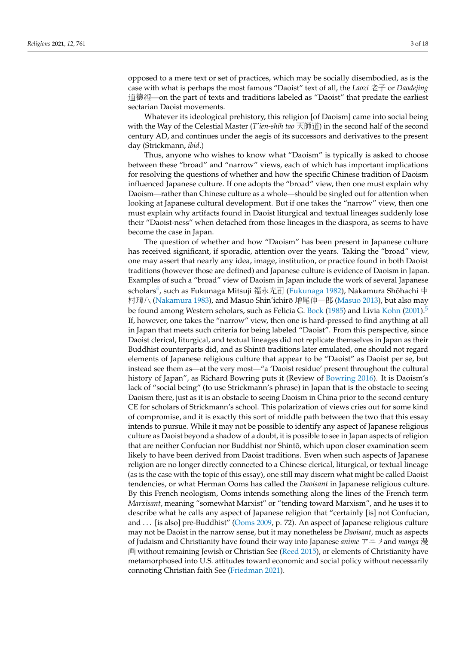<span id="page-2-1"></span>

opposed to a mere text or set of practices, which may be socially disembodied, as is the case with what is perhaps the most famous "Daoist" text of all, the *Laozi* 老子 or *Daodejing* <sup>道</sup>德經—on the part of texts and traditions labeled as "Daoist" that predate the earliest sectarian Daoist movements.

Whatever its ideological prehistory, this religion [of Daoism] came into social being with the Way of the Celestial Master (*T'ien-shih tao* 天師道) in the second half of the second century AD, and continues under the aegis of its successors and derivatives to the present day (Strickmann, *ibid*.)

Thus, anyone who wishes to know what "Daoism" is typically is asked to choose between these "broad" and "narrow" views, each of which has important implications for resolving the questions of whether and how the specific Chinese tradition of Daoism influenced Japanese culture. If one adopts the "broad" view, then one must explain why Daoism—rather than Chinese culture as a whole—should be singled out for attention when looking at Japanese cultural development. But if one takes the "narrow" view, then one must explain why artifacts found in Daoist liturgical and textual lineages suddenly lose their "Daoist-ness" when detached from those lineages in the diaspora, as seems to have become the case in Japan.

<span id="page-2-0"></span>The question of whether and how "Daoism" has been present in Japanese culture has received significant, if sporadic, attention over the years. Taking the "broad" view, one may assert that nearly any idea, image, institution, or practice found in both Daoist traditions (however those are defined) and Japanese culture is evidence of Daoism in Japan. Examples of such a "broad" view of Daoism in Japan include the work of several Japanese scholars ${}^4$  ${}^4$ , such as Fukunaga Mitsuji 福永光司 [\(Fukunaga](#page-16-2) [1982\)](#page-16-2), Nakamura Shōhachi 中 村璋八 [\(Nakamura](#page-16-3) [1983\)](#page-16-3), and Masuo Shin'ichirō 増尾伸一郎 [\(Masuo](#page-16-4) [2013\)](#page-16-4), but also may be found among Western scholars, such as Felicia G. [Bock](#page-15-0) [\(1985\)](#page-15-0) and Livia [Kohn](#page-16-5) [\(2001\)](#page-16-5).<sup>[5](#page-14-4)</sup> If, however, one takes the "narrow" view, then one is hard-pressed to find anything at all in Japan that meets such criteria for being labeled "Daoist". From this perspective, since Daoist clerical, liturgical, and textual lineages did not replicate themselves in Japan as their Buddhist counterparts did, and as Shintō traditions later emulated, one should not regard elements of Japanese religious culture that appear to be "Daoist" as Daoist per se, but instead see them as—at the very most—"a 'Daoist residue' present throughout the cultural history of Japan", as Richard [Bowring](#page-15-1) puts it (Review of Bowring [2016\)](#page-15-1). It is Daoism's lack of "social being" (to use Strickmann's phrase) in Japan that is the obstacle to seeing Daoism there, just as it is an obstacle to seeing Daoism in China prior to the second century CE for scholars of Strickmann's school. This polarization of views cries out for some kind of compromise, and it is exactly this sort of middle path between the two that this essay intends to pursue. While it may not be possible to identify any aspect of Japanese religious culture as Daoist beyond a shadow of a doubt, it is possible to see in Japan aspects of religion that are neither Confucian nor Buddhist nor Shintō, which upon closer examination seem likely to have been derived from Daoist traditions. Even when such aspects of Japanese religion are no longer directly connected to a Chinese clerical, liturgical, or textual lineage (as is the case with the topic of this essay), one still may discern what might be called Daoist tendencies, or what Herman Ooms has called the *Daoisant* in Japanese religious culture. By this French neologism, Ooms intends something along the lines of the French term *Marxisant*, meaning "somewhat Marxist" or "tending toward Marxism", and he uses it to describe what he calls any aspect of Japanese religion that "certainly [is] not Confucian, and . . . [is also] pre-Buddhist" [\(Ooms](#page-17-6) [2009,](#page-17-6) p. 72). An aspect of Japanese religious culture may not be Daoist in the narrow sense, but it may nonetheless be *Daoisant*, much as aspects of Judaism and Christianity have found their way into Japanese *anime* アニメand *manga* 漫 画 without remaining Jewish or Christian See [\(Reed](#page-17-7) [2015\)](#page-17-7), or elements of Christianity have metamorphosed into U.S. attitudes toward economic and social policy without necessarily connoting Christian faith See [\(Friedman](#page-16-6) [2021\)](#page-16-6).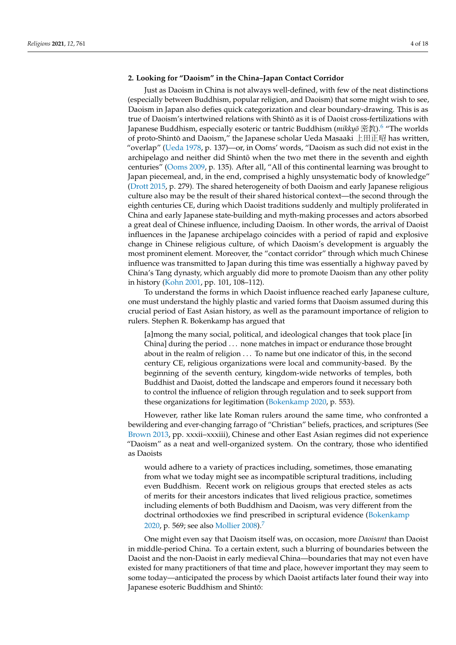# **2. Looking for "Daoism" in the China–Japan Contact Corridor**

<span id="page-3-0"></span>Just as Daoism in China is not always well-defined, with few of the neat distinctions (especially between Buddhism, popular religion, and Daoism) that some might wish to see, Daoism in Japan also defies quick categorization and clear boundary-drawing. This is as true of Daoism's intertwined relations with Shinto as it is of Daoist cross-fertilizations with ¯ Japanese Buddhism, especially esoteric or tantric Buddhism (*mikkyō* 密教).<sup>[6](#page-14-5)</sup> "The worlds of proto-Shintō and Daoism," the Japanese scholar Ueda Masaaki  $\pm \boxplus \text{F} \boxtimes$  has written, "overlap" [\(Ueda](#page-17-8) [1978,](#page-17-8) p. 137)—or, in Ooms' words, "Daoism as such did not exist in the archipelago and neither did Shintō when the two met there in the seventh and eighth centuries" [\(Ooms](#page-17-6) [2009,](#page-17-6) p. 135). After all, "All of this continental learning was brought to Japan piecemeal, and, in the end, comprised a highly unsystematic body of knowledge" [\(Drott](#page-16-7) [2015,](#page-16-7) p. 279). The shared heterogeneity of both Daoism and early Japanese religious culture also may be the result of their shared historical context—the second through the eighth centuries CE, during which Daoist traditions suddenly and multiply proliferated in China and early Japanese state-building and myth-making processes and actors absorbed a great deal of Chinese influence, including Daoism. In other words, the arrival of Daoist influences in the Japanese archipelago coincides with a period of rapid and explosive change in Chinese religious culture, of which Daoism's development is arguably the most prominent element. Moreover, the "contact corridor" through which much Chinese influence was transmitted to Japan during this time was essentially a highway paved by China's Tang dynasty, which arguably did more to promote Daoism than any other polity in history [\(Kohn](#page-16-5) [2001,](#page-16-5) pp. 101, 108–112).

To understand the forms in which Daoist influence reached early Japanese culture, one must understand the highly plastic and varied forms that Daoism assumed during this crucial period of East Asian history, as well as the paramount importance of religion to rulers. Stephen R. Bokenkamp has argued that

[a]mong the many social, political, and ideological changes that took place [in China] during the period . . . none matches in impact or endurance those brought about in the realm of religion . . . To name but one indicator of this, in the second century CE, religious organizations were local and community-based. By the beginning of the seventh century, kingdom-wide networks of temples, both Buddhist and Daoist, dotted the landscape and emperors found it necessary both to control the influence of religion through regulation and to seek support from these organizations for legitimation [\(Bokenkamp](#page-15-2) [2020,](#page-15-2) p. 553).

However, rather like late Roman rulers around the same time, who confronted a bewildering and ever-changing farrago of "Christian" beliefs, practices, and scriptures (See [Brown](#page-15-3) [2013,](#page-15-3) pp. xxxii–xxxiii), Chinese and other East Asian regimes did not experience "Daoism" as a neat and well-organized system. On the contrary, those who identified as Daoists

<span id="page-3-1"></span>would adhere to a variety of practices including, sometimes, those emanating from what we today might see as incompatible scriptural traditions, including even Buddhism. Recent work on religious groups that erected steles as acts of merits for their ancestors indicates that lived religious practice, sometimes including elements of both Buddhism and Daoism, was very different from the doctrinal orthodoxies we find prescribed in scriptural evidence [\(Bokenkamp](#page-15-2) [2020,](#page-15-2) p. 569; see also [Mollier](#page-16-8) [2008\)](#page-16-8).[7](#page-14-6)

One might even say that Daoism itself was, on occasion, more *Daoisant* than Daoist in middle-period China. To a certain extent, such a blurring of boundaries between the Daoist and the non-Daoist in early medieval China—boundaries that may not even have existed for many practitioners of that time and place, however important they may seem to some today—anticipated the process by which Daoist artifacts later found their way into Japanese esoteric Buddhism and Shintō: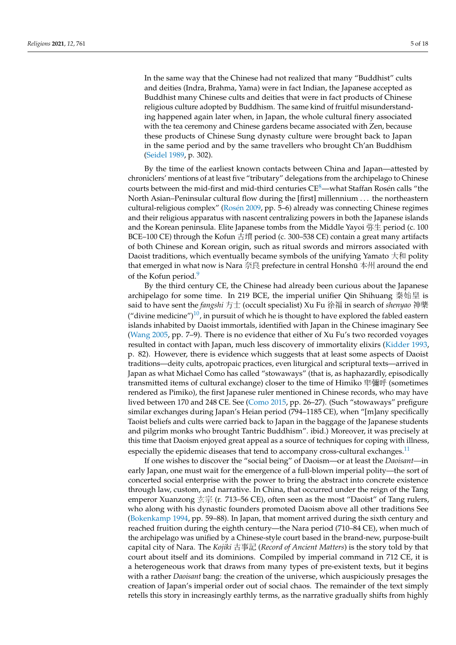In the same way that the Chinese had not realized that many "Buddhist" cults and deities (Indra, Brahma, Yama) were in fact Indian, the Japanese accepted as Buddhist many Chinese cults and deities that were in fact products of Chinese religious culture adopted by Buddhism. The same kind of fruitful misunderstanding happened again later when, in Japan, the whole cultural finery associated with the tea ceremony and Chinese gardens became associated with Zen, because these products of Chinese Sung dynasty culture were brought back to Japan in the same period and by the same travellers who brought Ch'an Buddhism [\(Seidel](#page-17-4) [1989,](#page-17-4) p. 302).

<span id="page-4-0"></span>By the time of the earliest known contacts between China and Japan—attested by chroniclers' mentions of at least five "tributary" delegations from the archipelago to Chinese courts between the mid-first and mid-third centuries  $CE<sup>8</sup>$  $CE<sup>8</sup>$  $CE<sup>8</sup>$ —what Staffan Rosén calls "the North Asian–Peninsular cultural flow during the [first] millennium . . . the northeastern cultural-religious complex" [\(Ros](#page-17-9)én [2009,](#page-17-9) pp. 5–6) already was connecting Chinese regimes and their religious apparatus with nascent centralizing powers in both the Japanese islands and the Korean peninsula. Elite Japanese tombs from the Middle Yayoi 弥生 period (c. 100 BCE–100 CE) through the Kofun 古墳 period (c. 300–538 CE) contain a great many artifacts of both Chinese and Korean origin, such as ritual swords and mirrors associated with Daoist traditions, which eventually became symbols of the unifying Yamato  $\pm \pi$  polity that emerged in what now is Nara 奈良 prefecture in central Honshū 本州 around the end of the Kofun period.<sup>[9](#page-14-8)</sup>

<span id="page-4-2"></span><span id="page-4-1"></span>By the third century CE, the Chinese had already been curious about the Japanese archipelago for some time. In 219 BCE, the imperial unifier Qin Shihuang 秦始皇 is said to have sent the *fangshi* 方士 (occult specialist) Xu Fu 徐福 in search of *shenyao* 神藥 ("divine medicine")<sup>[10](#page-14-9)</sup>, in pursuit of which he is thought to have explored the fabled eastern islands inhabited by Daoist immortals, identified with Japan in the Chinese imaginary See [\(Wang](#page-17-10) [2005,](#page-17-10) pp. 7–9). There is no evidence that either of Xu Fu's two recorded voyages resulted in contact with Japan, much less discovery of immortality elixirs [\(Kidder](#page-16-9) [1993,](#page-16-9) p. 82). However, there is evidence which suggests that at least some aspects of Daoist traditions—deity cults, apotropaic practices, even liturgical and scriptural texts—arrived in Japan as what Michael Como has called "stowaways" (that is, as haphazardly, episodically transmitted items of cultural exchange) closer to the time of Himiko 卑彌呼 (sometimes rendered as Pimiko), the first Japanese ruler mentioned in Chinese records, who may have lived between 170 and 248 CE. See [\(Como](#page-16-10) [2015,](#page-16-10) pp. 26–27). (Such "stowaways" prefigure similar exchanges during Japan's Heian period (794–1185 CE), when "[m]any specifically Taoist beliefs and cults were carried back to Japan in the baggage of the Japanese students and pilgrim monks who brought Tantric Buddhism". ibid.) Moreover, it was precisely at this time that Daoism enjoyed great appeal as a source of techniques for coping with illness, especially the epidemic diseases that tend to accompany cross-cultural exchanges.<sup>[11](#page-15-4)</sup>

<span id="page-4-3"></span>If one wishes to discover the "social being" of Daoism—or at least the *Daoisant—*in early Japan, one must wait for the emergence of a full-blown imperial polity—the sort of concerted social enterprise with the power to bring the abstract into concrete existence through law, custom, and narrative. In China, that occurred under the reign of the Tang emperor Xuanzong 玄宗 (r. 713–56 CE), often seen as the most "Daoist" of Tang rulers, who along with his dynastic founders promoted Daoism above all other traditions See [\(Bokenkamp](#page-15-5) [1994,](#page-15-5) pp. 59–88). In Japan, that moment arrived during the sixth century and reached fruition during the eighth century—the Nara period (710–84 CE), when much of the archipelago was unified by a Chinese-style court based in the brand-new, purpose-built capital city of Nara. The *Kojiki* 古事記 (*Record of Ancient Matters*) is the story told by that court about itself and its dominions. Compiled by imperial command in 712 CE, it is a heterogeneous work that draws from many types of pre-existent texts, but it begins with a rather *Daoisant* bang: the creation of the universe, which auspiciously presages the creation of Japan's imperial order out of social chaos. The remainder of the text simply retells this story in increasingly earthly terms, as the narrative gradually shifts from highly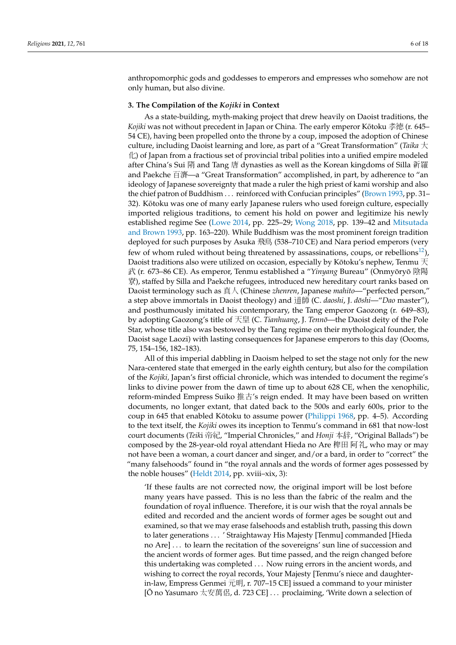anthropomorphic gods and goddesses to emperors and empresses who somehow are not only human, but also divine.

### **3. The Compilation of the** *Kojiki* **in Context**

As a state-building, myth-making project that drew heavily on Daoist traditions, the *Kojiki* was not without precedent in Japan or China. The early emperor Kōtoku 孝徳 (r. 645– 54 CE), having been propelled onto the throne by a coup, imposed the adoption of Chinese culture, including Daoist learning and lore, as part of a "Great Transformation" (*Taika* 大  $\langle \rangle$ ) of Japan from a fractious set of provincial tribal polities into a unified empire modeled after China's Sui 隋 and Tang 唐 dynasties as well as the Korean kingdoms of Silla 新羅 and Paekche 百濟—a "Great Transformation" accomplished, in part, by adherence to "an ideology of Japanese sovereignty that made a ruler the high priest of kami worship and also the chief patron of Buddhism . . . reinforced with Confucian principles" [\(Brown](#page-15-6) [1993,](#page-15-6) pp. 31-32). Kotoku was one of many early Japanese rulers who used foreign culture, especially ¯ imported religious traditions, to cement his hold on power and legitimize his newly established regime See [\(Lowe](#page-16-11) [2014,](#page-16-11) pp. 225–29; [Wong](#page-17-11) [2018,](#page-17-11) pp. 139–42 and [Mitsutada](#page-16-12) [and Brown](#page-16-12) [1993,](#page-16-12) pp. 163–220). While Buddhism was the most prominent foreign tradition deployed for such purposes by Asuka 飛鳥 (538–710 CE) and Nara period emperors (very few of whom ruled without being threatened by assassinations, coups, or rebellions<sup>[12](#page-15-7)</sup>), Daoist traditions also were utilized on occasion, especially by Kōtoku's nephew, Tenmu  $\pm$ 武 (r. 673–86 CE). As emperor, Tenmu established a "*Yinyang* Bureau" (Onmyōryō 陰陽 寮), staffed by Silla and Paekche refugees, introduced new hereditary court ranks based on Daoist terminology such as 真人 (Chinese *zhenren*, Japanese *mahito*—"perfected person," a step above immortals in Daoist theology) and 道師 (C. *daoshi*, J. *doshi ¯* —"*Dao* master"), and posthumously imitated his contemporary, the Tang emperor Gaozong (r. 649–83), by adopting Gaozong's title of 天皇 (C. *Tianhuang*, J. *Tenno¯*—the Daoist deity of the Pole Star, whose title also was bestowed by the Tang regime on their mythological founder, the Daoist sage Laozi) with lasting consequences for Japanese emperors to this day (Oooms, 75, 154–156, 182–183).

<span id="page-5-0"></span>All of this imperial dabbling in Daoism helped to set the stage not only for the new Nara-centered state that emerged in the early eighth century, but also for the compilation of the *Kojiki,* Japan's first official chronicle, which was intended to document the regime's links to divine power from the dawn of time up to about 628 CE, when the xenophilic, reform-minded Empress Suiko 推古's reign ended. It may have been based on written documents, no longer extant, that dated back to the 500s and early 600s, prior to the coup in 645 that enabled Kōtoku to assume power ( $\text{Philippi } 1968$  $\text{Philippi } 1968$  $\text{Philippi } 1968$ , pp. 4–5). According to the text itself, the *Kojiki* owes its inception to Tenmu's command in 681 that now-lost court documents (*Teik*i 帝紀, "Imperial Chronicles," and *Honji* 本辞, "Original Ballads") be composed by the 28-year-old royal attendant Hieda no Are 稗田 阿礼, who may or may not have been a woman, a court dancer and singer, and/or a bard, in order to "correct" the "many falsehoods" found in "the royal annals and the words of former ages possessed by the noble houses" [\(Heldt](#page-16-13) [2014,](#page-16-13) pp. xviii–xix, 3):

'If these faults are not corrected now, the original import will be lost before many years have passed. This is no less than the fabric of the realm and the foundation of royal influence. Therefore, it is our wish that the royal annals be edited and recorded and the ancient words of former ages be sought out and examined, so that we may erase falsehoods and establish truth, passing this down to later generations . . . ' Straightaway His Majesty [Tenmu] commanded [Hieda no Are] . . . to learn the recitation of the sovereigns' sun line of succession and the ancient words of former ages. But time passed, and the reign changed before this undertaking was completed . . . Now ruing errors in the ancient words, and wishing to correct the royal records, Your Majesty [Tenmu's niece and daughterin-law, Empress Genmei 元明, r. 707–15 CE] issued a command to your minister [O no Yasumaro 太安萬侶, d. 723 CE] . . . proclaiming, 'Write down a selection of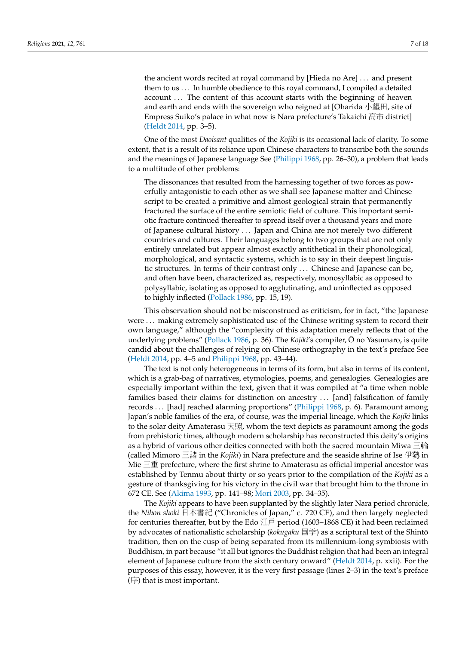the ancient words recited at royal command by [Hieda no Are] . . . and present them to us . . . In humble obedience to this royal command, I compiled a detailed account ... The content of this account starts with the beginning of heaven and earth and ends with the sovereign who reigned at [Oharida 小墾田, site of Empress Suiko's palace in what now is Nara prefecture's Takaichi 高市 district] [\(Heldt](#page-16-13) [2014,](#page-16-13) pp. 3–5).

One of the most *Daoisant* qualities of the *Kojiki* is its occasional lack of clarity. To some extent, that is a result of its reliance upon Chinese characters to transcribe both the sounds and the meanings of Japanese language See [\(Philippi](#page-17-12) [1968,](#page-17-12) pp. 26–30), a problem that leads to a multitude of other problems:

The dissonances that resulted from the harnessing together of two forces as powerfully antagonistic to each other as we shall see Japanese matter and Chinese script to be created a primitive and almost geological strain that permanently fractured the surface of the entire semiotic field of culture. This important semiotic fracture continued thereafter to spread itself over a thousand years and more of Japanese cultural history . . . Japan and China are not merely two different countries and cultures. Their languages belong to two groups that are not only entirely unrelated but appear almost exactly antithetical in their phonological, morphological, and syntactic systems, which is to say in their deepest linguistic structures. In terms of their contrast only . . . Chinese and Japanese can be, and often have been, characterized as, respectively, monosyllabic as opposed to polysyllabic, isolating as opposed to agglutinating, and uninflected as opposed to highly inflected [\(Pollack](#page-17-13) [1986,](#page-17-13) pp. 15, 19).

This observation should not be misconstrued as criticism, for in fact, "the Japanese were . . . making extremely sophisticated use of the Chinese writing system to record their own language," although the "complexity of this adaptation merely reflects that of the underlying problems" [\(Pollack](#page-17-13) [1986,](#page-17-13) p. 36). The *Kojiki's* compiler,  $\bar{O}$  no Yasumaro, is quite candid about the challenges of relying on Chinese orthography in the text's preface See [\(Heldt](#page-16-13) [2014,](#page-16-13) pp. 4–5 and [Philippi](#page-17-12) [1968,](#page-17-12) pp. 43–44).

The text is not only heterogeneous in terms of its form, but also in terms of its content, which is a grab-bag of narratives, etymologies, poems, and genealogies. Genealogies are especially important within the text, given that it was compiled at "a time when noble families based their claims for distinction on ancestry ... [and] falsification of family records . . . [had] reached alarming proportions" [\(Philippi](#page-17-12) [1968,](#page-17-12) p. 6). Paramount among Japan's noble families of the era, of course, was the imperial lineage, which the *Kojiki* links to the solar deity Amaterasu 天照, whom the text depicts as paramount among the gods from prehistoric times, although modern scholarship has reconstructed this deity's origins as a hybrid of various other deities connected with both the sacred mountain Miwa 三輪 (called Mimoro 三諸 in the *Kojiki*) in Nara prefecture and the seaside shrine of Ise 伊勢 in Mie  $\equiv$   $\pm$  prefecture, where the first shrine to Amaterasu as official imperial ancestor was established by Tenmu about thirty or so years prior to the compilation of the *Kojiki* as a gesture of thanksgiving for his victory in the civil war that brought him to the throne in 672 CE. See [\(Akima](#page-15-8) [1993,](#page-15-8) pp. 141–98; [Mori](#page-16-14) [2003,](#page-16-14) pp. 34–35).

The *Kojiki* appears to have been supplanted by the slightly later Nara period chronicle, the *Nihon shoki* 日本書紀 ("Chronicles of Japan," c. 720 CE), and then largely neglected for centuries thereafter, but by the Edo  $II\bar{P}$  period (1603–1868 CE) it had been reclaimed by advocates of nationalistic scholarship (*kokugaku* 国学) as a scriptural text of the Shintō tradition, then on the cusp of being separated from its millennium-long symbiosis with Buddhism, in part because "it all but ignores the Buddhist religion that had been an integral element of Japanese culture from the sixth century onward" [\(Heldt](#page-16-13) [2014,](#page-16-13) p. xxii). For the purposes of this essay, however, it is the very first passage (lines 2–3) in the text's preface (序) that is most important.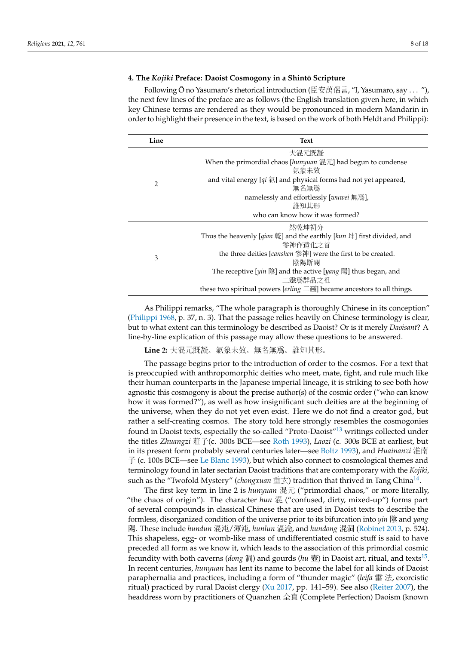## **4. The** *Kojiki* **Preface: Daoist Cosmogony in a Shinto Scripture ¯**

Following  $\bar{O}$  no Yasumaro's rhetorical introduction (臣安萬侶言, "I, Yasumaro, say ... "), the next few lines of the preface are as follows (the English translation given here, in which key Chinese terms are rendered as they would be pronounced in modern Mandarin in order to highlight their presence in the text, is based on the work of both Heldt and Philippi):

| Line | Text                                                                                                 |
|------|------------------------------------------------------------------------------------------------------|
| 2    | 夫混元既凝                                                                                                |
|      | When the primordial chaos [hunyuan $\ddot{\mathbb{E}}$ [ $\ddot{\mathbb{E}}$ ] had begun to condense |
|      | 氣象未效                                                                                                 |
|      | and vital energy $\left[qi\right]\overline{A}$ and physical forms had not yet appeared,              |
|      | 無名無爲                                                                                                 |
|      | namelessly and effortlessly [wuwei 無鳥],                                                              |
|      | 誰知其形                                                                                                 |
|      | who can know how it was formed?                                                                      |
| 3    | 然乾坤初分                                                                                                |
|      | Thus the heavenly [qian 乾] and the earthly [kun 坤] first divided, and                                |
|      | 参神作造化之首                                                                                              |
|      | the three deities [ <i>canshen</i> 参神] were the first to be created.                                 |
|      | 陰陽斯開                                                                                                 |
|      | The receptive [ $y$ <i>in</i> 陰] and the active [ $y$ <i>ang</i> 陽] thus began, and                  |
|      | 二靈爲群品之祖                                                                                              |
|      | these two spiritual powers [ $erling \equiv \frac{1}{2}$ ] became ancestors to all things.           |

As Philippi remarks, "The whole paragraph is thoroughly Chinese in its conception" [\(Philippi](#page-17-12) [1968,](#page-17-12) p. 37, n. 3). That the passage relies heavily on Chinese terminology is clear, but to what extent can this terminology be described as Daoist? Or is it merely *Daoisant*? A line-by-line explication of this passage may allow these questions to be answered.

<span id="page-7-0"></span>**Line 2:** 夫混元既凝。氣象未效。無名無爲。誰知其形。

The passage begins prior to the introduction of order to the cosmos. For a text that is preoccupied with anthropomorphic deities who meet, mate, fight, and rule much like their human counterparts in the Japanese imperial lineage, it is striking to see both how agnostic this cosmogony is about the precise author(s) of the cosmic order ("who can know how it was formed?"), as well as how insignificant such deities are at the beginning of the universe, when they do not yet even exist. Here we do not find a creator god, but rather a self-creating cosmos. The story told here strongly resembles the cosmogonies found in Daoist texts, especially the so-called "Proto-Daoist"[13](#page-15-9) writings collected under the titles *Zhuangzi* 莊子(c. 300s BCE—see [Roth](#page-17-14) [1993\)](#page-17-14), *Laozi* (c. 300s BCE at earliest, but in its present form probably several centuries later—see [Boltz](#page-15-10) [1993\)](#page-15-10), and *Huainanzi* 淮南 子 (c. 100s BCE—see [Le Blanc](#page-16-15) [1993\)](#page-16-15), but which also connect to cosmological themes and terminology found in later sectarian Daoist traditions that are contemporary with the *Kojiki*, such as the "Twofold Mystery" (*chongxuan* 重玄) tradition that thrived in Tang China<sup>[14](#page-15-11)</sup>.

<span id="page-7-2"></span><span id="page-7-1"></span>The first key term in line 2 is *hunyuan* 混元 ("primordial chaos," or more literally, "the chaos of origin"). The character *hun* 混 ("confused, dirty, mixed-up") forms part of several compounds in classical Chinese that are used in Daoist texts to describe the formless, disorganized condition of the universe prior to its bifurcation into *yin* 陰 and *yang* 陽. These include *hundun* 混沌/渾沌, *hunlun* 混淪, and *hundong* 混洞 [\(Robinet](#page-17-15) [2013,](#page-17-15) p. 524). This shapeless, egg- or womb-like mass of undifferentiated cosmic stuff is said to have preceded all form as we know it, which leads to the association of this primordial cosmic fecundity with both caverns (*dong* 洞) and gourds (*hu* 壺) in Daoist art, ritual, and texts<sup>[15](#page-15-12)</sup>. In recent centuries, *hunyuan* has lent its name to become the label for all kinds of Daoist paraphernalia and practices, including a form of "thunder magic" (*leifa* 雷 法, exorcistic ritual) practiced by rural Daoist clergy [\(Xu](#page-17-16) [2017,](#page-17-16) pp. 141–59). See also [\(Reiter](#page-17-17) [2007\)](#page-17-17), the headdress worn by practitioners of Quanzhen 全真 (Complete Perfection) Daoism (known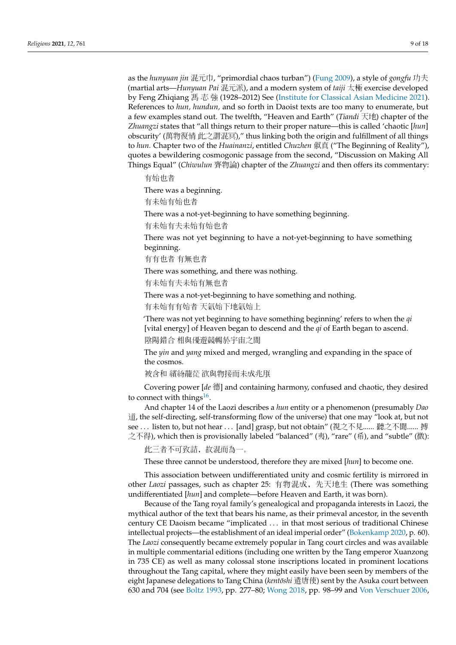as the *hunyuan jin* 混元巾, "primordial chaos turban") [\(Fung](#page-16-16) [2009\)](#page-16-16), a style of *gongfu* 功夫 (martial arts—*Hunyuan Pai* 混元派), and a modern system of *taiji* 太極 exercise developed by Feng Zhiqiang 馮 志 強 (1928–2012) See [\(Institute for Classical Asian Medicine](#page-16-17) [2021\)](#page-16-17). References to *hun, hundun,* and so forth in Daoist texts are too many to enumerate, but a few examples stand out. The twelfth, "Heaven and Earth" (*Tiandi* 天地) chapter of the *Zhuangzi* states that "all things return to their proper nature—this is called 'chaotic [*hun*] obscurity' (萬物復情 此之謂混冥)," thus linking both the origin and fulfillment of all things to *hun.* Chapter two of the *Huainanzi*, entitled *Chuzhen* 俶真 ("The Beginning of Reality"), quotes a bewildering cosmogonic passage from the second, "Discussion on Making All Things Equal" (*Chiwulun* 齊物論) chapter of the *Zhuangzi* and then offers its commentary:

有始也者

There was a beginning.

有未始有始也者

There was a not-yet-beginning to have something beginning.

有未始有夫未始有始也者

There was not yet beginning to have a not-yet-beginning to have something beginning.

有有也者 有無也者

There was something, and there was nothing.

有未始有夫未始有無也者

There was a not-yet-beginning to have something and nothing.

有未始有有始者 天氣始下地氣始上

'There was not yet beginning to have something beginning' refers to when the *qi* [vital energy] of Heaven began to descend and the *qi* of Earth began to ascend. 陰陽錯合 相與優遊競暢於宇宙之間

The *yin* and *yang* mixed and merged, wrangling and expanding in the space of the cosmos.

<span id="page-8-0"></span>被含和 繽紛蘢蓯 欲與物接而未成兆朕

Covering power [*de* 德] and containing harmony, confused and chaotic, they desired to connect with things $^{16}$  $^{16}$  $^{16}$ .

And chapter 14 of the Laozi describes a *hun* entity or a phenomenon (presumably *Dao* 道, the self-directing, self-transforming flow of the universe) that one may "look at, but not see ... listen to, but not hear ... [and] grasp, but not obtain" (視之不見...... 聽之不聞...... 搏 之不得), which then is provisionally labeled "balanced" (夷), "rare" (希), and "subtle" (微):

此三者不可致詰,故混而為一。

These three cannot be understood, therefore they are mixed [*hun*] to become one.

This association between undifferentiated unity and cosmic fertility is mirrored in other *Laozi* passages, such as chapter 25: 有物混成,先天地生 (There was something undifferentiated [*hun*] and complete—before Heaven and Earth, it was born).

Because of the Tang royal family's genealogical and propaganda interests in Laozi, the mythical author of the text that bears his name, as their primeval ancestor, in the seventh century CE Daoism became "implicated . . . in that most serious of traditional Chinese intellectual projects—the establishment of an ideal imperial order" [\(Bokenkamp](#page-15-2) [2020,](#page-15-2) p. 60). The *Laozi* consequently became extremely popular in Tang court circles and was available in multiple commentarial editions (including one written by the Tang emperor Xuanzong in 735 CE) as well as many colossal stone inscriptions located in prominent locations throughout the Tang capital, where they might easily have been seen by members of the eight Japanese delegations to Tang China (*kentōshi* 遣唐使) sent by the Asuka court between 630 and 704 (see [Boltz](#page-15-10) [1993,](#page-15-10) pp. 277–80; [Wong](#page-17-11) [2018,](#page-17-11) pp. 98–99 and [Von Verschuer](#page-17-18) [2006,](#page-17-18)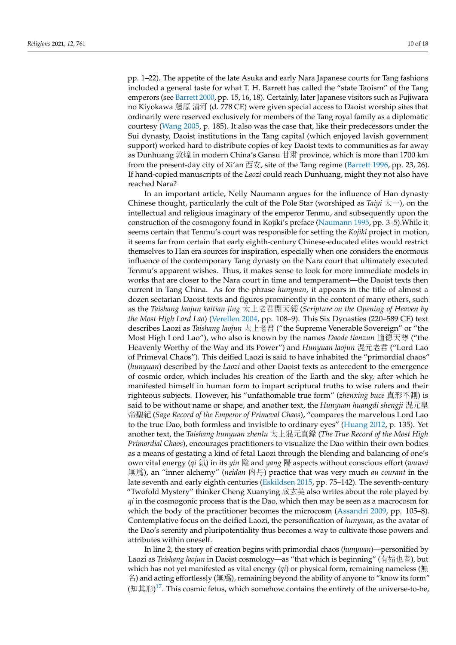pp. 1–22). The appetite of the late Asuka and early Nara Japanese courts for Tang fashions included a general taste for what T. H. Barrett has called the "state Taoism" of the Tang emperors (see [Barrett](#page-15-14) [2000,](#page-15-14) pp. 15, 16, 18). Certainly, later Japanese visitors such as Fujiwara no Kiyokawa 藤原 清河 (d. 778 CE) were given special access to Daoist worship sites that ordinarily were reserved exclusively for members of the Tang royal family as a diplomatic courtesy [\(Wang](#page-17-10) [2005,](#page-17-10) p. 185). It also was the case that, like their predecessors under the Sui dynasty, Daoist institutions in the Tang capital (which enjoyed lavish government support) worked hard to distribute copies of key Daoist texts to communities as far away as Dunhuang 敦煌 in modern China's Gansu 甘肃 province, which is more than 1700 km from the present-day city of Xi'an  $\overline{\text{H}}\overline{\mathcal{L}}$ , site of the Tang regime [\(Barrett](#page-15-15) [1996,](#page-15-15) pp. 23, 26). If hand-copied manuscripts of the *Laozi* could reach Dunhuang, might they not also have reached Nara?

In an important article, Nelly Naumann argues for the influence of Han dynasty Chinese thought, particularly the cult of the Pole Star (worshiped as *Taiyi* 太一), on the intellectual and religious imaginary of the emperor Tenmu, and subsequently upon the construction of the cosmogony found in Kojiki's preface [\(Naumann](#page-16-18) [1995,](#page-16-18) pp. 3–5).While it seems certain that Tenmu's court was responsible for setting the *Kojiki* project in motion, it seems far from certain that early eighth-century Chinese-educated elites would restrict themselves to Han era sources for inspiration, especially when one considers the enormous influence of the contemporary Tang dynasty on the Nara court that ultimately executed Tenmu's apparent wishes. Thus, it makes sense to look for more immediate models in works that are closer to the Nara court in time and temperament—the Daoist texts then current in Tang China. As for the phrase *hunyuan*, it appears in the title of almost a dozen sectarian Daoist texts and figures prominently in the content of many others, such as the *Taishang laojun kaitian jing* 太上老君開天經 (*Scripture on the Opening of Heaven by the Most High Lord Lao*) [\(Verellen](#page-17-19) [2004,](#page-17-19) pp. 108–9). This Six Dynasties (220–589 CE) text describes Laozi as *Taishang laojun* 太上老君 ("the Supreme Venerable Sovereign" or "the Most High Lord Lao"), who also is known by the names *Daode tianzun* <sup>道</sup>德天<sup>尊</sup> ("the Heavenly Worthy of the Way and its Power") and *Hunyuan laojun* 混元老君 ("Lord Lao of Primeval Chaos"). This deified Laozi is said to have inhabited the "primordial chaos" (*hunyuan*) described by the *Laozi* and other Daoist texts as antecedent to the emergence of cosmic order, which includes his creation of the Earth and the sky, after which he manifested himself in human form to impart scriptural truths to wise rulers and their righteous subjects. However, his "unfathomable true form" (*zhenxing buce* 真形不測) is said to be without name or shape, and another text, the *Hunyuan huangdi shengji* 混元皇 帝聖紀 (*Sage Record of the Emperor of Primeval Chaos*), "compares the marvelous Lord Lao to the true Dao, both formless and invisible to ordinary eyes" [\(Huang](#page-16-19) [2012,](#page-16-19) p. 135). Yet another text, the *Taishang hunyuan zhenlu* <sup>太</sup>上混元真錄 (*The True Record of the Most High Primordial Chaos*), encourages practitioners to visualize the Dao within their own bodies as a means of gestating a kind of fetal Laozi through the blending and balancing of one's own vital energy (*qi* 氣) in its *yin* 陰 and *yang* 陽 aspects without conscious effort (*wuwei* 無爲), an "inner alchemy" (*neidan* 內丹) practice that was very much *au courant* in the late seventh and early eighth centuries [\(Eskildsen](#page-16-20) [2015,](#page-16-20) pp. 75–142). The seventh-century "Twofold Mystery" thinker Cheng Xuanying 成玄英 also writes about the role played by *qi* in the cosmogonic process that is the Dao, which then may be seen as a macrocosm for which the body of the practitioner becomes the microcosm [\(Assandri](#page-15-16) [2009,](#page-15-16) pp. 105–8). Contemplative focus on the deified Laozi, the personification of *hunyuan*, as the avatar of the Dao's serenity and pluripotentiality thus becomes a way to cultivate those powers and attributes within oneself.

<span id="page-9-0"></span>In line 2, the story of creation begins with primordial chaos (*hunyuan*)—personified by Laozi as *Taishang laojun* in Daoist cosmology—as "that which is beginning" (有始也者), but which has not yet manifested as vital energy (*qi*) or physical form, remaining nameless (無 名) and acting effortlessly (無爲), remaining beyond the ability of anyone to "know its form" (知其形) $^{17}$  $^{17}$  $^{17}$ . This cosmic fetus, which somehow contains the entirety of the universe-to-be,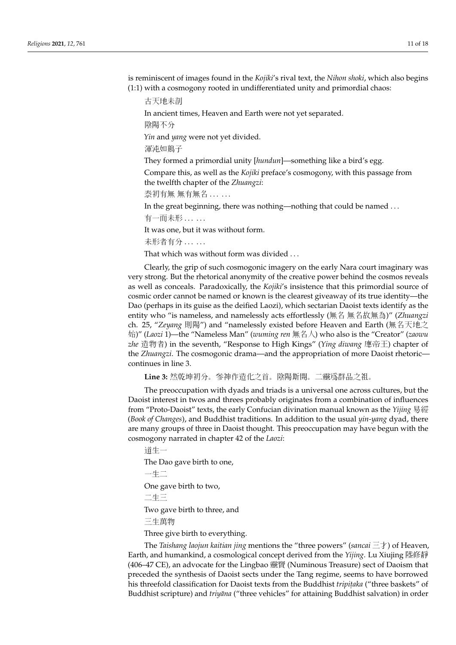is reminiscent of images found in the *Kojiki*'s rival text, the *Nihon shoki*, which also begins (1:1) with a cosmogony rooted in undifferentiated unity and primordial chaos:

古天地未剖

In ancient times, Heaven and Earth were not yet separated.

陰陽不分

*Yin* and *yang* were not yet divided.

渾沌如鶏子

They formed a primordial unity [*hundun*]—something like a bird's egg.

Compare this, as well as the *Kojiki* preface's cosmogony, with this passage from the twelfth chapter of the *Zhuangzi*:

<u>泰初有無 無有無名 . . . . .</u>

In the great beginning, there was nothing—nothing that could be named . . .

有一而未形 . . . . . .

It was one, but it was without form.

未形者有分 . . . . . .

That which was without form was divided . . .

Clearly, the grip of such cosmogonic imagery on the early Nara court imaginary was very strong. But the rhetorical anonymity of the creative power behind the cosmos reveals as well as conceals. Paradoxically, the *Kojiki*'s insistence that this primordial source of cosmic order cannot be named or known is the clearest giveaway of its true identity—the Dao (perhaps in its guise as the deified Laozi), which sectarian Daoist texts identify as the entity who "is nameless, and namelessly acts effortlessly (無名 無名故無為)" (*Zhuangzi* ch. 25, "*Zeyang* 則陽") and "namelessly existed before Heaven and Earth (無名天地之 始)" (*Laozi* 1)—the "Nameless Man" (*wuming ren* 無名人) who also is the "Creator" (*zaowu zhe* 造物者) in the seventh, "Response to High Kings" (*Ying diwang* 應帝王) chapter of the *Zhuangzi*. The cosmogonic drama—and the appropriation of more Daoist rhetoric continues in line 3.

**Line 3:** 然乾坤初分。參神作造化之首。陰陽斯開。二靈爲群品之祖。

The preoccupation with dyads and triads is a universal one across cultures, but the Daoist interest in twos and threes probably originates from a combination of influences from "Proto-Daoist" texts, the early Confucian divination manual known as the *Yijing* 易經 (*Book of Changes*), and Buddhist traditions. In addition to the usual *yin-yang* dyad, there are many groups of three in Daoist thought. This preoccupation may have begun with the cosmogony narrated in chapter 42 of the *Laozi*:

道生一 The Dao gave birth to one, 一生二 One gave birth to two, 二生三 Two gave birth to three, and 三生萬物 Three give birth to everything.

The *Taishang laojun kaitian jing* mentions the "three powers" (*sancai* 三才) of Heaven, Earth, and humankind, a cosmological concept derived from the *Yijing*. Lu Xiujing 陸修靜 (406–47 CE), an advocate for the Lingbao 靈寶 (Numinous Treasure) sect of Daoism that preceded the synthesis of Daoist sects under the Tang regime, seems to have borrowed his threefold classification for Daoist texts from the Buddhist *tripitaka* ("three baskets" of Buddhist scripture) and *triyana* ("three vehicles" for attaining Buddhist salvation) in order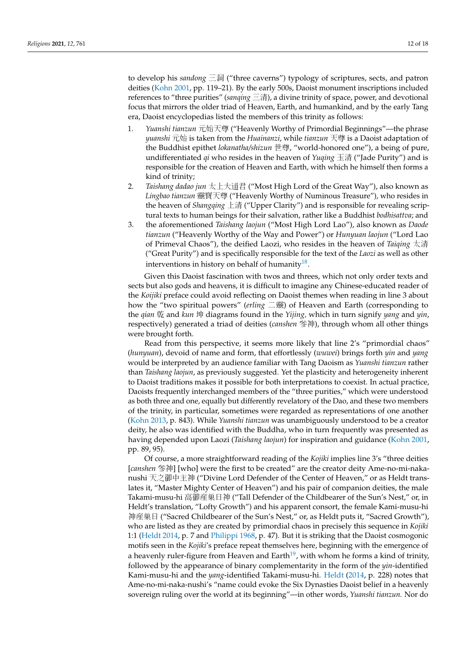to develop his *sandong* 三洞 ("three caverns") typology of scriptures, sects, and patron deities [\(Kohn](#page-16-5) [2001,](#page-16-5) pp. 119–21). By the early 500s, Daoist monument inscriptions included references to "three purities" (*sanqing* 三清), a divine trinity of space, power, and devotional focus that mirrors the older triad of Heaven, Earth, and humankind, and by the early Tang era, Daoist encyclopedias listed the members of this trinity as follows:

- 1. *Yuanshi tianzun* 元始天尊 ("Heavenly Worthy of Primordial Beginnings"—the phrase *yuanshi* 元始 is taken from the *Huainanzi*, while *tianzun* 天尊 is a Daoist adaptation of the Buddhist epithet *lokanatha/shizun* 世尊, "world-honored one"), a being of pure, undifferentiated *qi* who resides in the heaven of *Yuqing* 玉清 ("Jade Purity") and is responsible for the creation of Heaven and Earth, with which he himself then forms a kind of trinity;
- 2. *Taishang dadao jun* 太上大道君 ("Most High Lord of the Great Way"), also known as *Lingbao tianzun* 靈寳天尊 ("Heavenly Worthy of Numinous Treasure"), who resides in the heaven of *Shangqing* 上清 ("Upper Clarity") and is responsible for revealing scriptural texts to human beings for their salvation, rather like a Buddhist *bodhisattva*; and
- 3. the aforementioned *Taishang laojun* ("Most High Lord Lao"), also known as *Daode tianzun* ("Heavenly Worthy of the Way and Power") or *Hunyuan laojun* ("Lord Lao of Primeval Chaos"), the deified Laozi, who resides in the heaven of *Taiqing* 太清 ("Great Purity") and is specifically responsible for the text of the *Laozi* as well as other interventions in history on behalf of humanity $^{18}$  $^{18}$  $^{18}$ .

<span id="page-11-0"></span>Given this Daoist fascination with twos and threes, which not only order texts and sects but also gods and heavens, it is difficult to imagine any Chinese-educated reader of the *Koijiki* preface could avoid reflecting on Daoist themes when reading in line 3 about how the "two spiritual powers" (*erling* 二靈) of Heaven and Earth (corresponding to the *qian* 乾 and *kun* 坤 diagrams found in the *Yijing,* which in turn signify *yang* and *yin*, respectively) generated a triad of deities (*canshen* 參神), through whom all other things were brought forth.

Read from this perspective, it seems more likely that line 2's "primordial chaos" (*hunyuan*), devoid of name and form, that effortlessly (*wuwei*) brings forth *yin* and *yang* would be interpreted by an audience familiar with Tang Daoism as *Yuanshi tianzun* rather than *Taishang laojun*, as previously suggested. Yet the plasticity and heterogeneity inherent to Daoist traditions makes it possible for both interpretations to coexist. In actual practice, Daoists frequently interchanged members of the "three purities," which were understood as both three and one, equally but differently revelatory of the Dao, and these two members of the trinity, in particular, sometimes were regarded as representations of one another [\(Kohn](#page-16-21) [2013,](#page-16-21) p. 843). While *Yuanshi tianzun* was unambiguously understood to be a creator deity, he also was identified with the Buddha, who in turn frequently was presented as having depended upon Laozi (*Taishang laojun*) for inspiration and guidance [\(Kohn](#page-16-5) [2001,](#page-16-5) pp. 89, 95).

<span id="page-11-1"></span>Of course, a more straightforward reading of the *Kojiki* implies line 3's "three deities [*canshen* 參神] [who] were the first to be created" are the creator deity Ame-no-mi-nakanushi 天之御中主神 ("Divine Lord Defender of the Center of Heaven," or as Heldt translates it, "Master Mighty Center of Heaven") and his pair of companion deities, the male Takami-musu-hi 高御産巣日神 ("Tall Defender of the Childbearer of the Sun's Nest," or, in Heldt's translation, "Lofty Growth") and his apparent consort, the female Kami-musu-hi 神産巣日 ("Sacred Childbearer of the Sun's Nest," or, as Heldt puts it, "Sacred Growth"), who are listed as they are created by primordial chaos in precisely this sequence in *Kojiki* 1:1 [\(Heldt](#page-16-13) [2014,](#page-16-13) p. 7 and [Philippi](#page-17-12) [1968,](#page-17-12) p. 47). But it is striking that the Daoist cosmogonic motifs seen in the *Kojiki*'s preface repeat themselves here, beginning with the emergence of a heavenly ruler-figure from Heaven and  $Earth^{19}$  $Earth^{19}$  $Earth^{19}$ , with whom he forms a kind of trinity, followed by the appearance of binary complementarity in the form of the *yin*-identified Kami-musu-hi and the *yang*-identified Takami-musu-hi. [Heldt](#page-16-13) [\(2014,](#page-16-13) p. 228) notes that Ame-no-mi-naka-nushi's "name could evoke the Six Dynasties Daoist belief in a heavenly sovereign ruling over the world at its beginning"—in other words, *Yuanshi tianzun.* Nor do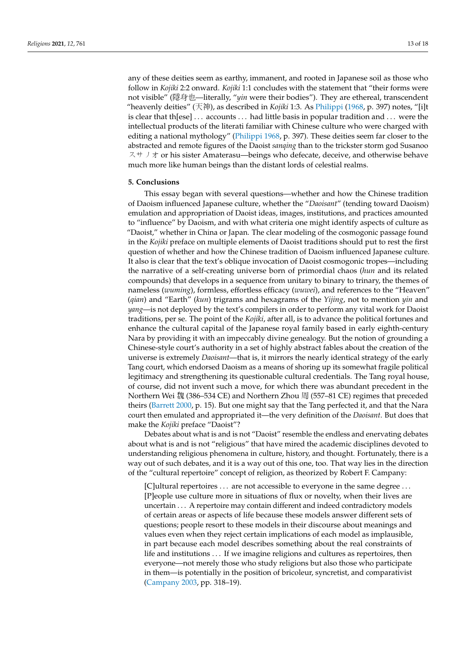any of these deities seem as earthy, immanent, and rooted in Japanese soil as those who follow in *Kojiki* 2:2 onward. *Kojiki* 1:1 concludes with the statement that "their forms were not visible" (隱身也—literally, "*yin* were their bodies"). They are ethereal, transcendent "heavenly deities" (天神), as described in *Kojiki* 1:3. As [Philippi](#page-17-12) [\(1968,](#page-17-12) p. 397) notes, "[i]t is clear that th[ese] . . . accounts . . . had little basis in popular tradition and . . . were the intellectual products of the literati familiar with Chinese culture who were charged with editing a national mythology" [\(Philippi](#page-17-12) [1968,](#page-17-12) p. 397). These deities seem far closer to the abstracted and remote figures of the Daoist *sanqing* than to the trickster storm god Susanoo スサノオ or his sister Amaterasu—beings who defecate, deceive, and otherwise behave much more like human beings than the distant lords of celestial realms.

#### **5. Conclusions**

This essay began with several questions—whether and how the Chinese tradition of Daoism influenced Japanese culture, whether the "*Daoisant*" (tending toward Daoism) emulation and appropriation of Daoist ideas, images, institutions, and practices amounted to "influence" by Daoism, and with what criteria one might identify aspects of culture as "Daoist," whether in China or Japan. The clear modeling of the cosmogonic passage found in the *Kojiki* preface on multiple elements of Daoist traditions should put to rest the first question of whether and how the Chinese tradition of Daoism influenced Japanese culture. It also is clear that the text's oblique invocation of Daoist cosmogonic tropes—including the narrative of a self-creating universe born of primordial chaos (*hun* and its related compounds) that develops in a sequence from unitary to binary to trinary, the themes of nameless (*wuming*), formless, effortless efficacy (*wuwei*), and references to the "Heaven" (*qian*) and "Earth" (*kun*) trigrams and hexagrams of the *Yijing*, not to mention *yin* and *yang*—is not deployed by the text's compilers in order to perform any vital work for Daoist traditions, per se. The point of the *Kojiki*, after all, is to advance the political fortunes and enhance the cultural capital of the Japanese royal family based in early eighth-century Nara by providing it with an impeccably divine genealogy. But the notion of grounding a Chinese-style court's authority in a set of highly abstract fables about the creation of the universe is extremely *Daoisant*—that is, it mirrors the nearly identical strategy of the early Tang court, which endorsed Daoism as a means of shoring up its somewhat fragile political legitimacy and strengthening its questionable cultural credentials. The Tang royal house, of course, did not invent such a move, for which there was abundant precedent in the Northern Wei 魏 (386–534 CE) and Northern Zhou 周 (557–81 CE) regimes that preceded theirs [\(Barrett](#page-15-14) [2000,](#page-15-14) p. 15). But one might say that the Tang perfected it, and that the Nara court then emulated and appropriated it—the very definition of the *Daoisant*. But does that make the *Kojiki* preface "Daoist"?

Debates about what is and is not "Daoist" resemble the endless and enervating debates about what is and is not "religious" that have mired the academic disciplines devoted to understanding religious phenomena in culture, history, and thought. Fortunately, there is a way out of such debates, and it is a way out of this one, too. That way lies in the direction of the "cultural repertoire" concept of religion, as theorized by Robert F. Campany:

[C]ultural repertoires . . . are not accessible to everyone in the same degree . . . [P]eople use culture more in situations of flux or novelty, when their lives are uncertain . . . A repertoire may contain different and indeed contradictory models of certain areas or aspects of life because these models answer different sets of questions; people resort to these models in their discourse about meanings and values even when they reject certain implications of each model as implausible, in part because each model describes something about the real constraints of life and institutions . . . If we imagine religions and cultures as repertoires, then everyone—not merely those who study religions but also those who participate in them—is potentially in the position of bricoleur, syncretist, and comparativist [\(Campany](#page-15-20) [2003,](#page-15-20) pp. 318–19).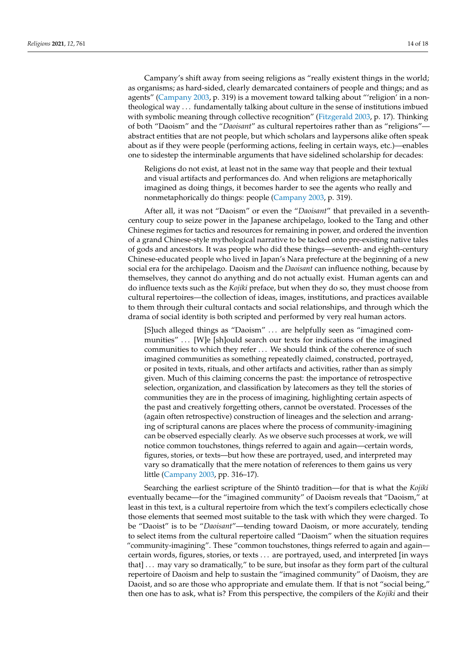Campany's shift away from seeing religions as "really existent things in the world; as organisms; as hard-sided, clearly demarcated containers of people and things; and as agents" [\(Campany](#page-15-20) [2003,](#page-15-20) p. 319) is a movement toward talking about "'religion' in a nontheological way . . . fundamentally talking about culture in the sense of institutions imbued with symbolic meaning through collective recognition" [\(Fitzgerald](#page-16-22) [2003,](#page-16-22) p. 17). Thinking of both "Daoism" and the "*Daoisant*" as cultural repertoires rather than as "religions" abstract entities that are not people, but which scholars and laypersons alike often speak about as if they were people (performing actions, feeling in certain ways, etc.)—enables one to sidestep the interminable arguments that have sidelined scholarship for decades:

Religions do not exist, at least not in the same way that people and their textual and visual artifacts and performances do. And when religions are metaphorically imagined as doing things, it becomes harder to see the agents who really and nonmetaphorically do things: people [\(Campany](#page-15-20) [2003,](#page-15-20) p. 319).

After all, it was not "Daoism" or even the "*Daoisant*" that prevailed in a seventhcentury coup to seize power in the Japanese archipelago, looked to the Tang and other Chinese regimes for tactics and resources for remaining in power, and ordered the invention of a grand Chinese-style mythological narrative to be tacked onto pre-existing native tales of gods and ancestors. It was people who did these things—seventh- and eighth-century Chinese-educated people who lived in Japan's Nara prefecture at the beginning of a new social era for the archipelago. Daoism and the *Daoisant* can influence nothing, because by themselves, they cannot do anything and do not actually exist. Human agents can and do influence texts such as the *Kojiki* preface, but when they do so, they must choose from cultural repertoires—the collection of ideas, images, institutions, and practices available to them through their cultural contacts and social relationships, and through which the drama of social identity is both scripted and performed by very real human actors.

[S]uch alleged things as "Daoism" . . . are helpfully seen as "imagined communities" . . [W]e [sh]ould search our texts for indications of the imagined communities to which they refer . . . We should think of the coherence of such imagined communities as something repeatedly claimed, constructed, portrayed, or posited in texts, rituals, and other artifacts and activities, rather than as simply given. Much of this claiming concerns the past: the importance of retrospective selection, organization, and classification by latecomers as they tell the stories of communities they are in the process of imagining, highlighting certain aspects of the past and creatively forgetting others, cannot be overstated. Processes of the (again often retrospective) construction of lineages and the selection and arranging of scriptural canons are places where the process of community-imagining can be observed especially clearly. As we observe such processes at work, we will notice common touchstones, things referred to again and again—certain words, figures, stories, or texts—but how these are portrayed, used, and interpreted may vary so dramatically that the mere notation of references to them gains us very little [\(Campany](#page-15-20) [2003,](#page-15-20) pp. 316–17).

Searching the earliest scripture of the Shintō tradition—for that is what the Kojiki eventually became—for the "imagined community" of Daoism reveals that "Daoism," at least in this text, is a cultural repertoire from which the text's compilers eclectically chose those elements that seemed most suitable to the task with which they were charged. To be "Daoist" is to be "*Daoisant*"—tending toward Daoism, or more accurately, tending to select items from the cultural repertoire called "Daoism" when the situation requires "community-imagining". These "common touchstones, things referred to again and again certain words, figures, stories, or texts . . . are portrayed, used, and interpreted [in ways that] . . . may vary so dramatically," to be sure, but insofar as they form part of the cultural repertoire of Daoism and help to sustain the "imagined community" of Daoism, they are Daoist, and so are those who appropriate and emulate them. If that is not "social being," then one has to ask, what is? From this perspective, the compilers of the *Kojiki* and their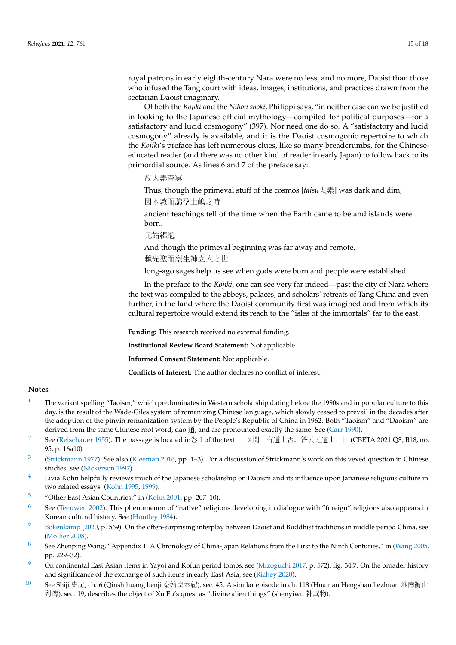royal patrons in early eighth-century Nara were no less, and no more, Daoist than those who infused the Tang court with ideas, images, institutions, and practices drawn from the sectarian Daoist imaginary.

Of both the *Kojiki* and the *Nihon shoki*, Philippi says, "in neither case can we be justified in looking to the Japanese official mythology—compiled for political purposes—for a satisfactory and lucid cosmogony" (397). Nor need one do so. A "satisfactory and lucid cosmogony" already is available, and it is the Daoist cosmogonic repertoire to which the *Kojiki*'s preface has left numerous clues, like so many breadcrumbs, for the Chineseeducated reader (and there was no other kind of reader in early Japan) to follow back to its primordial source. As lines 6 and 7 of the preface say:

故太素杳冥

Thus, though the primeval stuff of the cosmos [*taisu*太素] was dark and dim,

因本教而識孕土嶋之時

ancient teachings tell of the time when the Earth came to be and islands were born.

元始綿邈

And though the primeval beginning was far away and remote,

賴先聖而察生神立人之世

long-ago sages help us see when gods were born and people were established.

In the preface to the *Kojiki*, one can see very far indeed—past the city of Nara where the text was compiled to the abbeys, palaces, and scholars' retreats of Tang China and even further, in the land where the Daoist community first was imagined and from which its cultural repertoire would extend its reach to the "isles of the immortals" far to the east.

**Funding:** This research received no external funding.

**Institutional Review Board Statement:** Not applicable.

**Informed Consent Statement:** Not applicable.

**Conflicts of Interest:** The author declares no conflict of interest.

## **Notes**

- <span id="page-14-0"></span><sup>[1](#page-0-0)</sup> The variant spelling "Taoism," which predominates in Western scholarship dating before the 1990s and in popular culture to this day, is the result of the Wade-Giles system of romanizing Chinese language, which slowly ceased to prevail in the decades after the adoption of the pinyin romanization system by the People's Republic of China in 1962. Both "Taoism" and "Daoism" are derived from the same Chinese root word, dao 道, and are pronounced exactly the same. See [\(Carr](#page-16-23) [1990\)](#page-16-23).
- <span id="page-14-1"></span>[2](#page-0-1) See [\(Reischauer](#page-17-20) [1955\)](#page-17-20). The passage is located in卷 1 of the text: 「又問。有道士否。答云无道士。」 (CBETA 2021.Q3, B18, no. 95, p. 16a10)
- <span id="page-14-2"></span> $\overline{3}$  $\overline{3}$  $\overline{3}$ [\(Strickmann](#page-17-21) [1977\)](#page-17-21). See also [\(Kleeman](#page-16-24) [2016,](#page-16-24) pp. 1–3). For a discussion of Strickmann's work on this vexed question in Chinese studies, see [\(Nickerson](#page-16-25) [1997\)](#page-16-25).
- <span id="page-14-3"></span> $4$  Livia Kohn helpfully reviews much of the Japanese scholarship on Daoism and its influence upon Japanese religious culture in two related essays: [\(Kohn](#page-16-26) [1995,](#page-16-26) [1999\)](#page-16-27).
- <span id="page-14-4"></span>[5](#page-2-1) "Other East Asian Countries," in [\(Kohn](#page-16-5) [2001,](#page-16-5) pp. 207–10).
- <span id="page-14-5"></span>[6](#page-3-0) See [\(Teeuwen](#page-17-22) [2002\)](#page-17-22). This phenomenon of "native" religions developing in dialogue with "foreign" religions also appears in Korean cultural history. See [\(Huntley](#page-16-28) [1984\)](#page-16-28).
- <span id="page-14-6"></span>[7](#page-3-1) [Bokenkamp](#page-15-2) [\(2020,](#page-15-2) p. 569). On the often-surprising interplay between Daoist and Buddhist traditions in middle period China, see [\(Mollier](#page-16-8) [2008\)](#page-16-8).
- <span id="page-14-7"></span>[8](#page-4-0) See Zhenping Wang, "Appendix 1: A Chronology of China-Japan Relations from the First to the Ninth Centuries," in [\(Wang](#page-17-10) [2005,](#page-17-10) pp. 229–32).
- <span id="page-14-8"></span>[9](#page-4-1) On continental East Asian items in Yayoi and Kofun period tombs, see [\(Mizoguchi](#page-16-29) [2017,](#page-16-29) p. 572), fig. 34.7. On the broader history and significance of the exchange of such items in early East Asia, see [\(Richey](#page-17-23) [2020\)](#page-17-23).
- <span id="page-14-9"></span>[10](#page-4-2) See Shiji 史記, ch. 6 (Qinshihuang benji 秦始皇本紀), sec. 45. A similar episode in ch. 118 (Huainan Hengshan liezhuan 淮南衡山 列傳), sec. 19, describes the object of Xu Fu's quest as "divine alien things" (shenyiwu 神異物).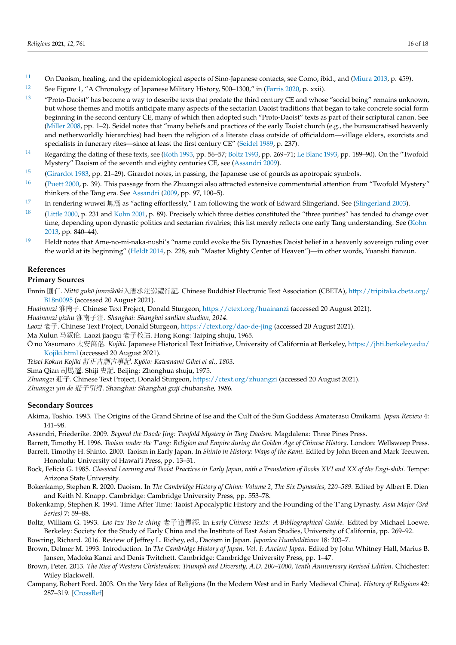- <span id="page-15-4"></span> $11$  On Daoism, healing, and the epidemiological aspects of Sino-Japanese contacts, see Como, ibid., and [\(Miura](#page-16-30) [2013,](#page-16-30) p. 459).
- <span id="page-15-7"></span>[12](#page-5-0) See Figure 1, "A Chronology of Japanese Military History, 500–1300," in [\(Farris](#page-16-31) [2020,](#page-16-31) p. xxii).
- <span id="page-15-9"></span>[13](#page-7-0) "Proto-Daoist" has become a way to describe texts that predate the third century CE and whose "social being" remains unknown, but whose themes and motifs anticipate many aspects of the sectarian Daoist traditions that began to take concrete social form beginning in the second century CE, many of which then adopted such "Proto-Daoist" texts as part of their scriptural canon. See [\(Miller](#page-16-32) [2008,](#page-16-32) pp. 1–2). Seidel notes that "many beliefs and practices of the early Taoist church (e.g., the bureaucratised heavenly and netherworldly hierarchies) had been the religion of a literate class outside of officialdom—village elders, exorcists and specialists in funerary rites—since at least the first century CE" [\(Seidel](#page-17-4) [1989,](#page-17-4) p. 237).
- <span id="page-15-11"></span>[14](#page-7-1) Regarding the dating of these texts, see [\(Roth](#page-17-14) [1993,](#page-17-14) pp. 56–57; [Boltz](#page-15-10) [1993,](#page-15-10) pp. 269–71; [Le Blanc](#page-16-15) [1993,](#page-16-15) pp. 189–90). On the "Twofold Mystery" Daoism of the seventh and eighty centuries CE, see [\(Assandri](#page-15-16) [2009\)](#page-15-16).
- <span id="page-15-12"></span><sup>[15](#page-7-2)</sup> [\(Girardot](#page-16-33) [1983,](#page-16-33) pp. 21–29). Girardot notes, in passing, the Japanese use of gourds as apotropaic symbols.
- <span id="page-15-13"></span><sup>[16](#page-8-0)</sup> [\(Puett](#page-17-24) [2000,](#page-17-24) p. 39). This passage from the Zhuangzi also attracted extensive commentarial attention from "Twofold Mystery" thinkers of the Tang era. See [Assandri](#page-15-16) [\(2009,](#page-15-16) pp. 97, 100–5).
- <span id="page-15-17"></span>[17](#page-9-0) In rendering wuwei 無爲 as "acting effortlessly," I am following the work of Edward Slingerland. See [\(Slingerland](#page-17-25) [2003\)](#page-17-25).
- <span id="page-15-18"></span><sup>[18](#page-11-0)</sup> [\(Little](#page-16-34) [2000,](#page-16-34) p. 231 and [Kohn](#page-16-5) [2001,](#page-16-5) p. 89). Precisely which three deities constituted the "three purities" has tended to change over time, depending upon dynastic politics and sectarian rivalries; this list merely reflects one early Tang understanding. See [\(Kohn](#page-16-21) [2013,](#page-16-21) pp. 840–44).
- <span id="page-15-19"></span> $19$  Heldt notes that Ame-no-mi-naka-nushi's "name could evoke the Six Dynasties Daoist belief in a heavenly sovereign ruling over the world at its beginning" [\(Heldt](#page-16-13) [2014,](#page-16-13) p. 228, sub "Master Mighty Center of Heaven")—in other words, Yuanshi tianzun.

## **References**

# **Primary Sources**

- Ennin 圓仁. Nittō guhō junreikōki入唐求法巡禮行記. Chinese Buddhist Electronic Text Association (CBETA), [http://tripitaka.cbeta.org/](http://tripitaka.cbeta.org/B18n0095) [B18n0095](http://tripitaka.cbeta.org/B18n0095) (accessed 20 August 2021).
- *Huainanzi* 淮南子. Chinese Text Project, Donald Sturgeon, <https://ctext.org/huainanzi> (accessed 20 August 2021).

*Huainanzi yizhu* 淮南子注*. Shanghai: Shanghai sanlian shudian, 2014*.

- *Laozi* 老子. Chinese Text Project, Donald Sturgeon, <https://ctext.org/dao-de-jing> (accessed 20 August 2021).
- Ma Xulun 马叙伦. Laozi jiaogu <sup>老</sup>子校诂. Hong Kong: Taiping shuju, 1965.
- O no Yasumaro ¯ 太安萬侶*. Kojiki.* Japanese Historical Text Initiative, University of California at Berkeley, [https://jhti.berkeley.edu/](https://jhti.berkeley.edu/Kojiki.html) [Kojiki.html](https://jhti.berkeley.edu/Kojiki.html) (accessed 20 August 2021).

*Teisei Kokun Kojiki* 訂正古訓古事記. *Kyoto: Kawanami Gihei et al., 1803 ¯* .

Sima Qian 司馬遷. Shiji 史記. Beijing: Zhonghua shuju, 1975.

*Zhuangzi* 莊子. Chinese Text Project, Donald Sturgeon, <https://ctext.org/zhuangzi> (accessed 20 August 2021).

*Zhuangzi yin de* 莊子引得. Shanghai: Shanghai guji chubanshe, <sup>1986</sup>.

# **Secondary Sources**

- <span id="page-15-8"></span>Akima, Toshio. 1993. The Origins of the Grand Shrine of Ise and the Cult of the Sun Goddess Amaterasu Omikami. *Japan Review* 4: 141–98.
- <span id="page-15-16"></span>Assandri, Friederike. 2009. *Beyond the Daode Jing: Twofold Mystery in Tang Daoism*. Magdalena: Three Pines Press.
- <span id="page-15-15"></span>Barrett, Timothy H. 1996. *Taoism under the T'ang: Religion and Empire during the Golden Age of Chinese History*. London: Wellsweep Press.
- <span id="page-15-14"></span>Barrett, Timothy H. Shinto. 2000. Taoism in Early Japan. In *Shinto in History: Ways of the Kami*. Edited by John Breen and Mark Teeuwen. Honolulu: University of Hawai'i Press, pp. 13–31.
- <span id="page-15-0"></span>Bock, Felicia G. 1985. *Classical Learning and Taoist Practices in Early Japan, with a Translation of Books XVI and XX of the Engi-shiki*. Tempe: Arizona State University.
- <span id="page-15-2"></span>Bokenkamp, Stephen R. 2020. Daoism. In *The Cambridge History of China: Volume 2, The Six Dynasties, 220–589*. Edited by Albert E. Dien and Keith N. Knapp. Cambridge: Cambridge University Press, pp. 553–78.
- <span id="page-15-5"></span>Bokenkamp, Stephen R. 1994. Time After Time: Taoist Apocalyptic History and the Founding of the T'ang Dynasty. *Asia Major (3rd Series)* 7: 59–88.
- <span id="page-15-10"></span>Boltz, William G. 1993. *Lao tzu Tao te ching* <sup>老</sup>子道德經. In *Early Chinese Texts: A Bibliographical Guide*. Edited by Michael Loewe. Berkeley: Society for the Study of Early China and the Institute of East Asian Studies, University of California, pp. 269–92.

<span id="page-15-1"></span>Bowring, Richard. 2016. Review of Jeffrey L. Richey, ed., Daoism in Japan. *Japonica Humboldtiana* 18: 203–7.

- <span id="page-15-6"></span>Brown, Delmer M. 1993. Introduction. In *The Cambridge History of Japan, Vol. I: Ancient Japan*. Edited by John Whitney Hall, Marius B. Jansen, Madoka Kanai and Denis Twitchett. Cambridge: Cambridge University Press, pp. 1–47.
- <span id="page-15-3"></span>Brown, Peter. 2013. *The Rise of Western Christendom: Triumph and Diversity, A.D. 200–1000, Tenth Anniversary Revised Edition*. Chichester: Wiley Blackwell.
- <span id="page-15-20"></span>Campany, Robert Ford. 2003. On the Very Idea of Religions (In the Modern West and in Early Medieval China). *History of Religions* 42: 287–319. [\[CrossRef\]](http://doi.org/10.1086/378757)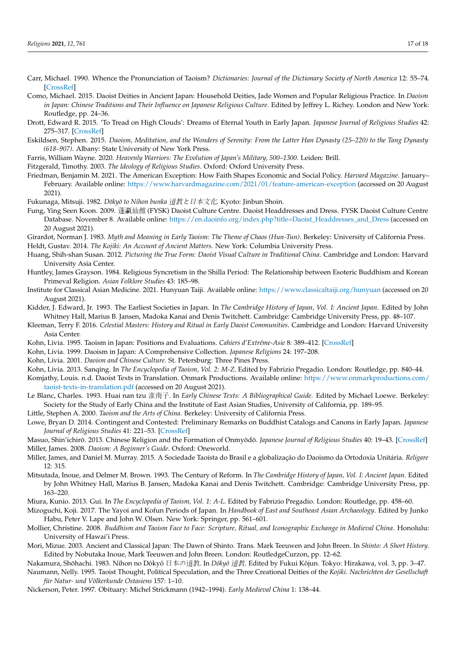- <span id="page-16-23"></span>Carr, Michael. 1990. Whence the Pronunciation of Taoism? *Dictionaries: Journal of the Dictionary Society of North America* 12: 55–74. [\[CrossRef\]](http://doi.org/10.1353/dic.1990.0004)
- <span id="page-16-10"></span>Como, Michael. 2015. Daoist Deities in Ancient Japan: Household Deities, Jade Women and Popular Religious Practice. In *Daoism* in Japan: Chinese Traditions and Their Influence on Japanese Religious Culture. Edited by Jeffrey L. Richey. London and New York: Routledge, pp. 24–36.
- <span id="page-16-7"></span>Drott, Edward R. 2015. 'To Tread on High Clouds': Dreams of Eternal Youth in Early Japan. *Japanese Journal of Religious Studies* 42: 275–317. [\[CrossRef\]](http://doi.org/10.18874/jjrs.42.2.2015.275-317)
- <span id="page-16-20"></span>Eskildsen, Stephen. 2015. *Daoism, Meditation, and the Wonders of Serenity: From the Latter Han Dynasty (25–220) to the Tang Dynasty (618–907)*. Albany: State University of New York Press.
- <span id="page-16-31"></span>Farris, William Wayne. 2020. *Heavenly Warriors: The Evolution of Japan's Military, 500–1300*. Leiden: Brill.
- <span id="page-16-22"></span>Fitzgerald, Timothy. 2003. *The Ideology of Religious Studies*. Oxford: Oxford University Press.
- <span id="page-16-6"></span>Friedman, Benjamin M. 2021. The American Exception: How Faith Shapes Economic and Social Policy. *Harvard Magazine*. January– February. Available online: <https://www.harvardmagazine.com/2021/01/feature-american-exception> (accessed on 20 August 2021).
- <span id="page-16-2"></span>Fukunaga, Mitsuji. 1982. *Dōkyō to Nihon bunka 道教と日本文化*. Kyoto: Jinbun Shoin.
- <span id="page-16-16"></span>Fung, Ying Seen Koon. 2009. 蓬瀛仙館 (FYSK) Daoist Culture Centre. Daoist Headdresses and Dress. FYSK Daoist Culture Centre Database. November 8. Available online: [https://en.daoinfo.org/index.php?title=Daoist\\_Headdresses\\_and\\_Dress](https://en.daoinfo.org/index.php?title=Daoist_Headdresses_and_Dress) (accessed on 20 August 2021).
- <span id="page-16-33"></span><span id="page-16-13"></span>Girardot, Norman J. 1983. *Myth and Meaning in Early Taoism: The Theme of Chaos (Hun-Tun)*. Berkeley: University of California Press. Heldt, Gustav. 2014. *The Kojiki: An Account of Ancient Matters*. New York: Columbia University Press.
- <span id="page-16-19"></span>Huang, Shih-shan Susan. 2012. *Picturing the True Form: Daoist Visual Culture in Traditional China*. Cambridge and London: Harvard University Asia Center.
- <span id="page-16-28"></span>Huntley, James Grayson. 1984. Religious Syncretism in the Shilla Period: The Relationship between Esoteric Buddhism and Korean Primeval Religion. *Asian Folklore Studies* 43: 185–98.
- <span id="page-16-17"></span>Institute for Classical Asian Medicine. 2021. Hunyuan Taiji. Available online: <https://www.classicaltaiji.org/hunyuan> (accessed on 20 August 2021).
- <span id="page-16-9"></span>Kidder, J. Edward, Jr. 1993. The Earliest Societies in Japan. In *The Cambridge History of Japan, Vol. I: Ancient Japan*. Edited by John Whitney Hall, Marius B. Jansen, Madoka Kanai and Denis Twitchett. Cambridge: Cambridge University Press, pp. 48–107.
- <span id="page-16-24"></span>Kleeman, Terry F. 2016. *Celestial Masters: History and Ritual in Early Daoist Communities*. Cambridge and London: Harvard University Asia Center.
- <span id="page-16-26"></span>Kohn, Livia. 1995. Taoism in Japan: Positions and Evaluations. *Cahiers d'Extrême-Asie* 8: 389–412. [\[CrossRef\]](http://doi.org/10.3406/asie.1995.1103)
- <span id="page-16-27"></span>Kohn, Livia. 1999. Daoism in Japan: A Comprehensive Collection. *Japanese Religions* 24: 197–208.
- <span id="page-16-5"></span>Kohn, Livia. 2001. *Daoism and Chinese Culture*. St. Petersburg: Three Pines Press.
- <span id="page-16-21"></span>Kohn, Livia. 2013. Sanqing. In *The Encyclopedia of Taoism, Vol. 2: M-Z*. Edited by Fabrizio Pregadio. London: Routledge, pp. 840–44.
- <span id="page-16-1"></span>Komjathy, Louis. n.d. Daoist Texts in Translation. Onmark Productions. Available online: [https://www.onmarkproductions.com/](https://www.onmarkproductions.com/taoist-texts-in-translation.pdf) [taoist-texts-in-translation.pdf](https://www.onmarkproductions.com/taoist-texts-in-translation.pdf) (accessed on 20 August 2021).
- <span id="page-16-15"></span>Le Blanc, Charles. 1993. Huai nan tzu 淮南子. In *Early Chinese Texts: A Bibliographical Guide*. Edited by Michael Loewe. Berkeley: Society for the Study of Early China and the Institute of East Asian Studies, University of California, pp. 189–95.
- <span id="page-16-34"></span>Little, Stephen A. 2000. *Taoism and the Arts of China*. Berkeley: University of California Press.
- <span id="page-16-11"></span>Lowe, Bryan D. 2014. Contingent and Contested: Preliminary Remarks on Buddhist Catalogs and Canons in Early Japan. *Japanese Journal of Religious Studies* 41: 221–53. [\[CrossRef\]](http://doi.org/10.18874/jjrs.41.2.2014.221-253)
- <span id="page-16-32"></span><span id="page-16-4"></span>Masuo, Shin'ichirō. 2013. Chinese Religion and the Formation of Onmyōdō. *Japanese Journal of Religious Studies* 40: 19–43. [\[CrossRef\]](http://doi.org/10.18874/jjrs.40.1.2013.19-43) Miller, James. 2008. *Daoism: A Beginner's Guide*. Oxford: Oneworld.
- <span id="page-16-0"></span>Miller, James, and Daniel M. Murray. 2015. A Sociedade Taoísta do Brasil e a globalização do Daoismo da Ortodoxia Unitária. *Religare* 12: 315.
- <span id="page-16-12"></span>Mitsutada, Inoue, and Delmer M. Brown. 1993. The Century of Reform. In *The Cambridge History of Japan, Vol. I: Ancient Japan*. Edited by John Whitney Hall, Marius B. Jansen, Madoka Kanai and Denis Twitchett. Cambridge: Cambridge University Press, pp. 163–220.
- <span id="page-16-30"></span>Miura, Kunio. 2013. Gui. In *The Encyclopedia of Taoism, Vol. 1: A-L*. Edited by Fabrizio Pregadio. London: Routledge, pp. 458–60.
- <span id="page-16-29"></span>Mizoguchi, Koji. 2017. The Yayoi and Kofun Periods of Japan. In *Handbook of East and Southeast Asian Archaeology*. Edited by Junko Habu, Peter V. Lape and John W. Olsen. New York: Springer, pp. 561–601.
- <span id="page-16-8"></span>Mollier, Christine. 2008. *Buddhism and Taoism Face to Face: Scripture, Ritual, and Iconographic Exchange in Medieval China*. Honolulu: University of Hawai'i Press.
- <span id="page-16-14"></span>Mori, Mizue. 2003. Ancient and Classical Japan: The Dawn of Shinto. Trans. Mark Teeuwen and John Breen. In *Shinto: A Short History*. Edited by Nobutaka Inoue, Mark Teeuwen and John Breen. London: RoutledgeCurzon, pp. 12–62.
- <span id="page-16-18"></span><span id="page-16-3"></span>Nakamura, Shōhachi. 1983. Nihon no Dôkyô 日本の道教. In *Dôkyô 道教*. Edited by Fukui Kôjun. Tokyo: Hirakawa, vol. 3, pp. 3–47. Naumann, Nelly. 1995. Taoist Thought, Political Speculation, and the Three Creational Deities of the *Kojiki*. *Nachrichten der Gesellschaft für Natur- und Völkerkunde Ostasiens* 157: 1–10.
- <span id="page-16-25"></span>Nickerson, Peter. 1997. Obituary: Michel Strickmann (1942–1994). *Early Medieval China* 1: 138–44.